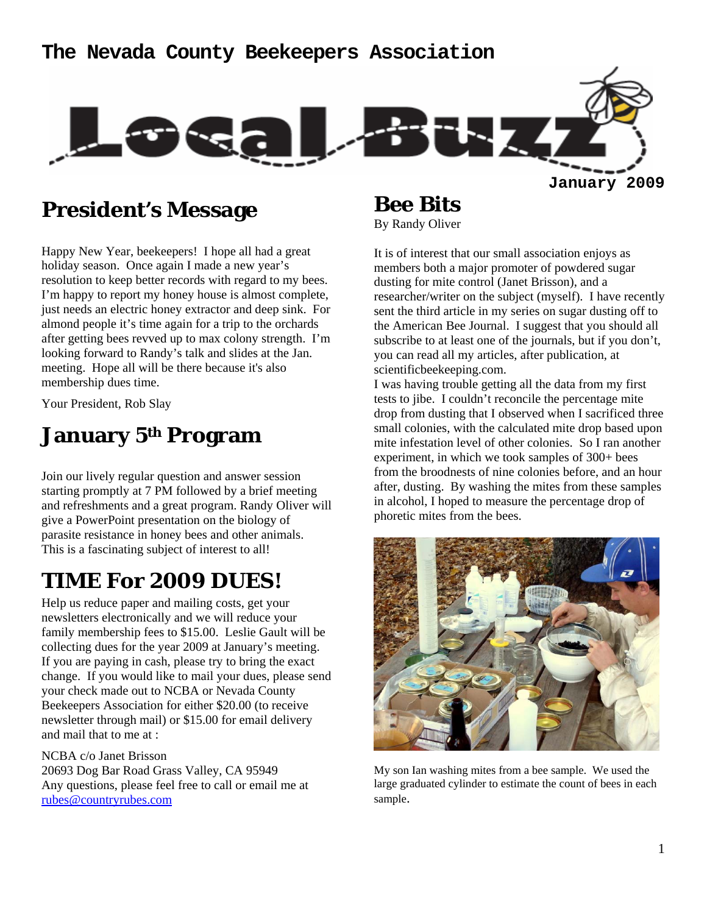### **The Nevada County Beekeepers Association**



### **President's Message**

Happy New Year, beekeepers! I hope all had a great holiday season. Once again I made a new year's resolution to keep better records with regard to my bees. I'm happy to report my honey house is almost complete, just needs an electric honey extractor and deep sink. For almond people it's time again for a trip to the orchards after getting bees revved up to max colony strength. I'm looking forward to Randy's talk and slides at the Jan. meeting. Hope all will be there because it's also membership dues time.

Your President, Rob Slay

### **January 5th Program**

Join our lively regular question and answer session starting promptly at 7 PM followed by a brief meeting and refreshments and a great program. Randy Oliver will give a PowerPoint presentation on the biology of parasite resistance in honey bees and other animals. This is a fascinating subject of interest to all!

### **TIME For 2009 DUES!**

Help us reduce paper and mailing costs, get your newsletters electronically and we will reduce your family membership fees to \$15.00. Leslie Gault will be collecting dues for the year 2009 at January's meeting. If you are paying in cash, please try to bring the exact change. If you would like to mail your dues, please send your check made out to NCBA or Nevada County Beekeepers Association for either \$20.00 (to receive newsletter through mail) or \$15.00 for email delivery and mail that to me at :

#### NCBA c/o Janet Brisson

20693 Dog Bar Road Grass Valley, CA 95949 Any questions, please feel free to call or email me at rubes@countryrubes.com

# **Bee Bits**

By Randy Oliver

It is of interest that our small association enjoys as members both a major promoter of powdered sugar dusting for mite control (Janet Brisson), and a researcher/writer on the subject (myself). I have recently sent the third article in my series on sugar dusting off to the American Bee Journal. I suggest that you should all subscribe to at least one of the journals, but if you don't, you can read all my articles, after publication, at scientificbeekeeping.com.

I was having trouble getting all the data from my first tests to jibe. I couldn't reconcile the percentage mite drop from dusting that I observed when I sacrificed three small colonies, with the calculated mite drop based upon mite infestation level of other colonies. So I ran another experiment, in which we took samples of 300+ bees from the broodnests of nine colonies before, and an hour after, dusting. By washing the mites from these samples in alcohol, I hoped to measure the percentage drop of phoretic mites from the bees.



My son Ian washing mites from a bee sample. We used the large graduated cylinder to estimate the count of bees in each sample.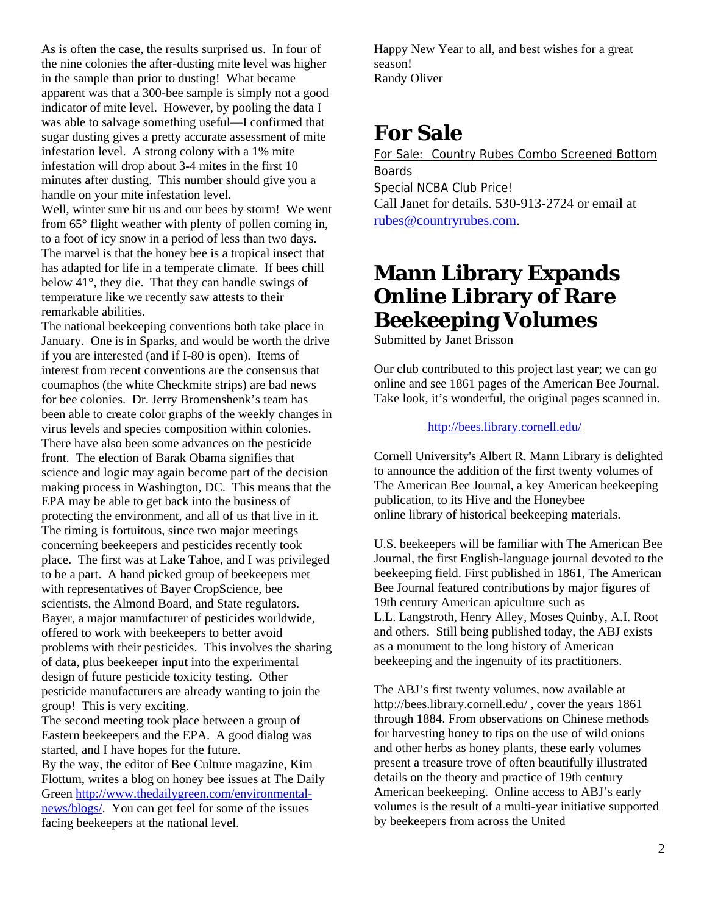As is often the case, the results surprised us. In four of the nine colonies the after-dusting mite level was higher in the sample than prior to dusting! What became apparent was that a 300-bee sample is simply not a good indicator of mite level. However, by pooling the data I was able to salvage something useful—I confirmed that sugar dusting gives a pretty accurate assessment of mite infestation level. A strong colony with a 1% mite infestation will drop about 3-4 mites in the first 10 minutes after dusting. This number should give you a handle on your mite infestation level.

Well, winter sure hit us and our bees by storm! We went from 65° flight weather with plenty of pollen coming in, to a foot of icy snow in a period of less than two days. The marvel is that the honey bee is a tropical insect that has adapted for life in a temperate climate. If bees chill below 41°, they die. That they can handle swings of temperature like we recently saw attests to their remarkable abilities.

The national beekeeping conventions both take place in January. One is in Sparks, and would be worth the drive if you are interested (and if I-80 is open). Items of interest from recent conventions are the consensus that coumaphos (the white Checkmite strips) are bad news for bee colonies. Dr. Jerry Bromenshenk's team has been able to create color graphs of the weekly changes in virus levels and species composition within colonies. There have also been some advances on the pesticide front. The election of Barak Obama signifies that science and logic may again become part of the decision making process in Washington, DC. This means that the EPA may be able to get back into the business of protecting the environment, and all of us that live in it. The timing is fortuitous, since two major meetings concerning beekeepers and pesticides recently took place. The first was at Lake Tahoe, and I was privileged to be a part. A hand picked group of beekeepers met with representatives of Bayer CropScience, bee scientists, the Almond Board, and State regulators. Bayer, a major manufacturer of pesticides worldwide, offered to work with beekeepers to better avoid problems with their pesticides. This involves the sharing of data, plus beekeeper input into the experimental design of future pesticide toxicity testing. Other pesticide manufacturers are already wanting to join the group! This is very exciting.

The second meeting took place between a group of Eastern beekeepers and the EPA. A good dialog was started, and I have hopes for the future. By the way, the editor of Bee Culture magazine, Kim Flottum, writes a blog on honey bee issues at The Daily Green http://www.thedailygreen.com/environmentalnews/blogs/. You can get feel for some of the issues facing beekeepers at the national level.

Happy New Year to all, and best wishes for a great season! Randy Oliver

### **For Sale**

For Sale: Country Rubes Combo Screened Bottom Boards Special NCBA Club Price! Call Janet for details. 530-913-2724 or email at rubes@countryrubes.com.

### **Mann Library Expands Online Library of Rare Beekeeping Volumes**

Submitted by Janet Brisson

Our club contributed to this project last year; we can go online and see 1861 pages of the American Bee Journal. Take look, it's wonderful, the original pages scanned in.

#### http://bees.library.cornell.edu/

Cornell University's Albert R. Mann Library is delighted to announce the addition of the first twenty volumes of The American Bee Journal, a key American beekeeping publication, to its Hive and the Honeybee online library of historical beekeeping materials.

U.S. beekeepers will be familiar with The American Bee Journal, the first English-language journal devoted to the beekeeping field. First published in 1861, The American Bee Journal featured contributions by major figures of 19th century American apiculture such as L.L. Langstroth, Henry Alley, Moses Quinby, A.I. Root and others. Still being published today, the ABJ exists as a monument to the long history of American beekeeping and the ingenuity of its practitioners.

The ABJ's first twenty volumes, now available at http://bees.library.cornell.edu/ , cover the years 1861 through 1884. From observations on Chinese methods for harvesting honey to tips on the use of wild onions and other herbs as honey plants, these early volumes present a treasure trove of often beautifully illustrated details on the theory and practice of 19th century American beekeeping. Online access to ABJ's early volumes is the result of a multi-year initiative supported by beekeepers from across the United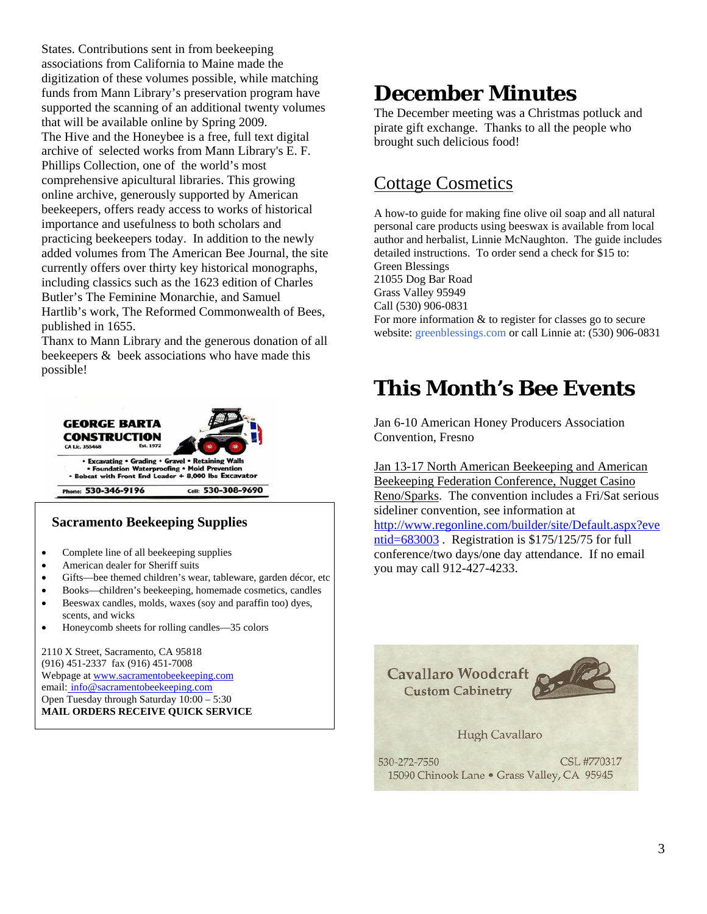States. Contributions sent in from beekeeping associations from California to Maine made the digitization of these volumes possible, while matching funds from Mann Library's preservation program have supported the scanning of an additional twenty volumes that will be available online by Spring 2009. The Hive and the Honeybee is a free, full text digital archive of selected works from Mann Library's E. F. Phillips Collection, one of the world's most comprehensive apicultural libraries. This growing online archive, generously supported by American beekeepers, offers ready access to works of historical importance and usefulness to both scholars and practicing beekeepers today. In addition to the newly added volumes from The American Bee Journal, the site currently offers over thirty key historical monographs, including classics such as the 1623 edition of Charles Butler's The Feminine Monarchie, and Samuel Hartlib's work, The Reformed Commonwealth of Bees, published in 1655.

Thanx to Mann Library and the generous donation of all beekeepers & beek associations who have made this possible!



#### **Sacramento Beekeeping Supplies**

- Complete line of all beekeeping supplies
- American dealer for Sheriff suits
- Gifts-bee themed children's wear, tableware, garden décor, etc
- Books—children's beekeeping, homemade cosmetics, candles
- Beeswax candles, molds, waxes (soy and paraffin too) dyes, scents, and wicks
- Honeycomb sheets for rolling candles—35 colors

2110 X Street, Sacramento, CA 95818 (916) 451-2337 fax (916) 451-7008 Webpage at www.sacramentobeekeeping.com email: info@sacramentobeekeeping.com Open Tuesday through Saturday 10:00 – 5:30 **MAIL ORDERS RECEIVE QUICK SERVICE**

## **December Minutes**

The December meeting was a Christmas potluck and pirate gift exchange. Thanks to all the people who brought such delicious food!

### Cottage Cosmetics

A how-to guide for making fine olive oil soap and all natural personal care products using beeswax is available from local author and herbalist, Linnie McNaughton. The guide includes detailed instructions. To order send a check for \$15 to: Green Blessings 21055 Dog Bar Road Grass Valley 95949 Call (530) 906-0831 For more information & to register for classes go to secure website: greenblessings.com or call Linnie at: (530) 906-0831

### **This Month's Bee Events**

Jan 6-10 American Honey Producers Association Convention, Fresno

Jan 13-17 North American Beekeeping and American Beekeeping Federation Conference, Nugget Casino Reno/Sparks. The convention includes a Fri/Sat serious sideliner convention, see information at http://www.regonline.com/builder/site/Default.aspx?eve ntid=683003. Registration is \$175/125/75 for full conference/two days/one day attendance. If no email you may call 912-427-4233.

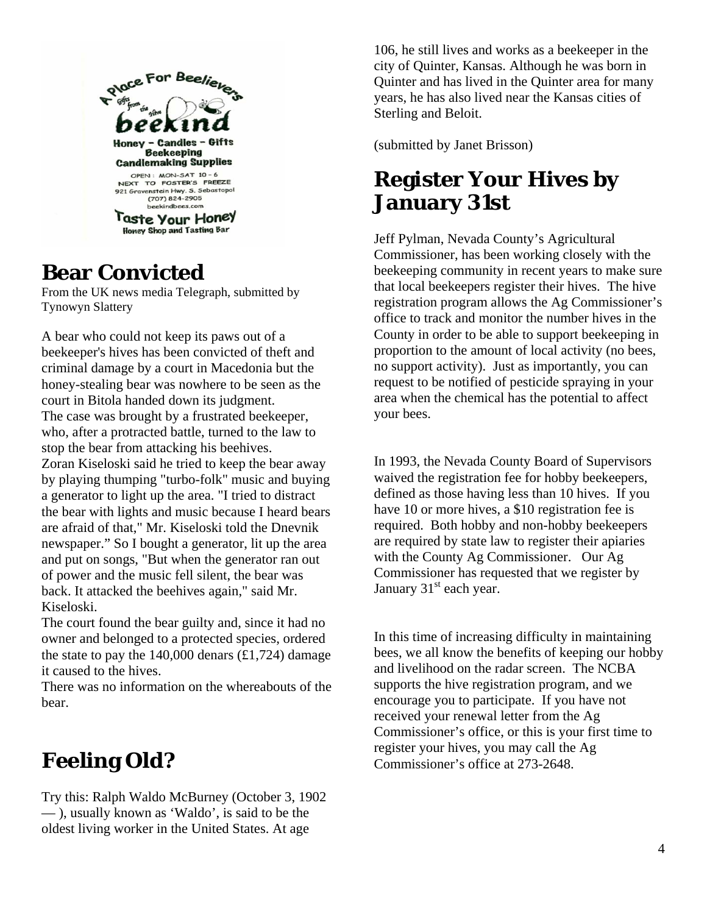

### **Bear Convicted**

From the UK news media Telegraph, submitted by Tynowyn Slattery

A bear who could not keep its paws out of a beekeeper's hives has been convicted of theft and criminal damage by a court in Macedonia but the honey-stealing bear was nowhere to be seen as the court in Bitola handed down its judgment. The case was brought by a frustrated beekeeper, who, after a protracted battle, turned to the law to stop the bear from attacking his beehives. Zoran Kiseloski said he tried to keep the bear away by playing thumping "turbo-folk" music and buying a generator to light up the area. "I tried to distract the bear with lights and music because I heard bears are afraid of that," Mr. Kiseloski told the Dnevnik newspaper." So I bought a generator, lit up the area and put on songs, "But when the generator ran out of power and the music fell silent, the bear was back. It attacked the beehives again," said Mr. Kiseloski.

The court found the bear guilty and, since it had no owner and belonged to a protected species, ordered the state to pay the  $140,000$  denars  $(\text{\textsterling}1,724)$  damage it caused to the hives.

There was no information on the whereabouts of the bear.

# **Feeling Old?**

Try this: Ralph Waldo McBurney (October 3, 1902 — ), usually known as 'Waldo', is said to be the oldest living worker in the United States. At age

106, he still lives and works as a beekeeper in the city of Quinter, Kansas. Although he was born in Quinter and has lived in the Quinter area for many years, he has also lived near the Kansas cities of Sterling and Beloit.

(submitted by Janet Brisson)

# **Register Your Hives by January 31st**

Jeff Pylman, Nevada County's Agricultural Commissioner, has been working closely with the beekeeping community in recent years to make sure that local beekeepers register their hives. The hive registration program allows the Ag Commissioner's office to track and monitor the number hives in the County in order to be able to support beekeeping in proportion to the amount of local activity (no bees, no support activity). Just as importantly, you can request to be notified of pesticide spraying in your area when the chemical has the potential to affect your bees.

In 1993, the Nevada County Board of Supervisors waived the registration fee for hobby beekeepers, defined as those having less than 10 hives. If you have 10 or more hives, a \$10 registration fee is required. Both hobby and non-hobby beekeepers are required by state law to register their apiaries with the County Ag Commissioner. Our Ag Commissioner has requested that we register by January 31<sup>st</sup> each year.

In this time of increasing difficulty in maintaining bees, we all know the benefits of keeping our hobby and livelihood on the radar screen. The NCBA supports the hive registration program, and we encourage you to participate. If you have not received your renewal letter from the Ag Commissioner's office, or this is your first time to register your hives, you may call the Ag Commissioner's office at 273-2648.